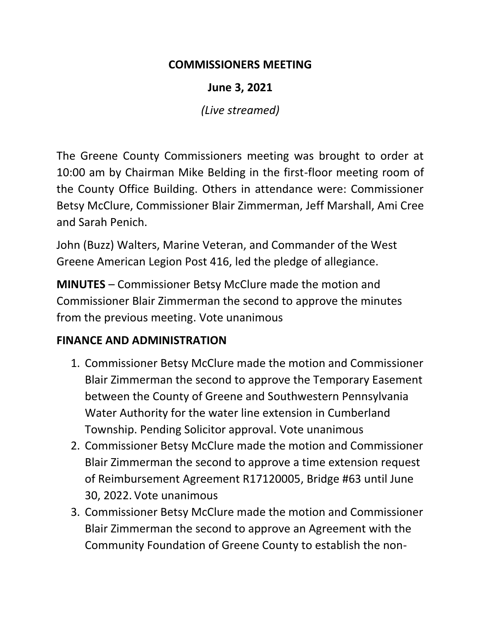### **COMMISSIONERS MEETING**

**June 3, 2021**

*(Live streamed)*

The Greene County Commissioners meeting was brought to order at 10:00 am by Chairman Mike Belding in the first-floor meeting room of the County Office Building. Others in attendance were: Commissioner Betsy McClure, Commissioner Blair Zimmerman, Jeff Marshall, Ami Cree and Sarah Penich.

John (Buzz) Walters, Marine Veteran, and Commander of the West Greene American Legion Post 416, led the pledge of allegiance.

**MINUTES** – Commissioner Betsy McClure made the motion and Commissioner Blair Zimmerman the second to approve the minutes from the previous meeting. Vote unanimous

# **FINANCE AND ADMINISTRATION**

- 1. Commissioner Betsy McClure made the motion and Commissioner Blair Zimmerman the second to approve the Temporary Easement between the County of Greene and Southwestern Pennsylvania Water Authority for the water line extension in Cumberland Township. Pending Solicitor approval. Vote unanimous
- 2. Commissioner Betsy McClure made the motion and Commissioner Blair Zimmerman the second to approve a time extension request of Reimbursement Agreement R17120005, Bridge #63 until June 30, 2022. Vote unanimous
- 3. Commissioner Betsy McClure made the motion and Commissioner Blair Zimmerman the second to approve an Agreement with the Community Foundation of Greene County to establish the non-